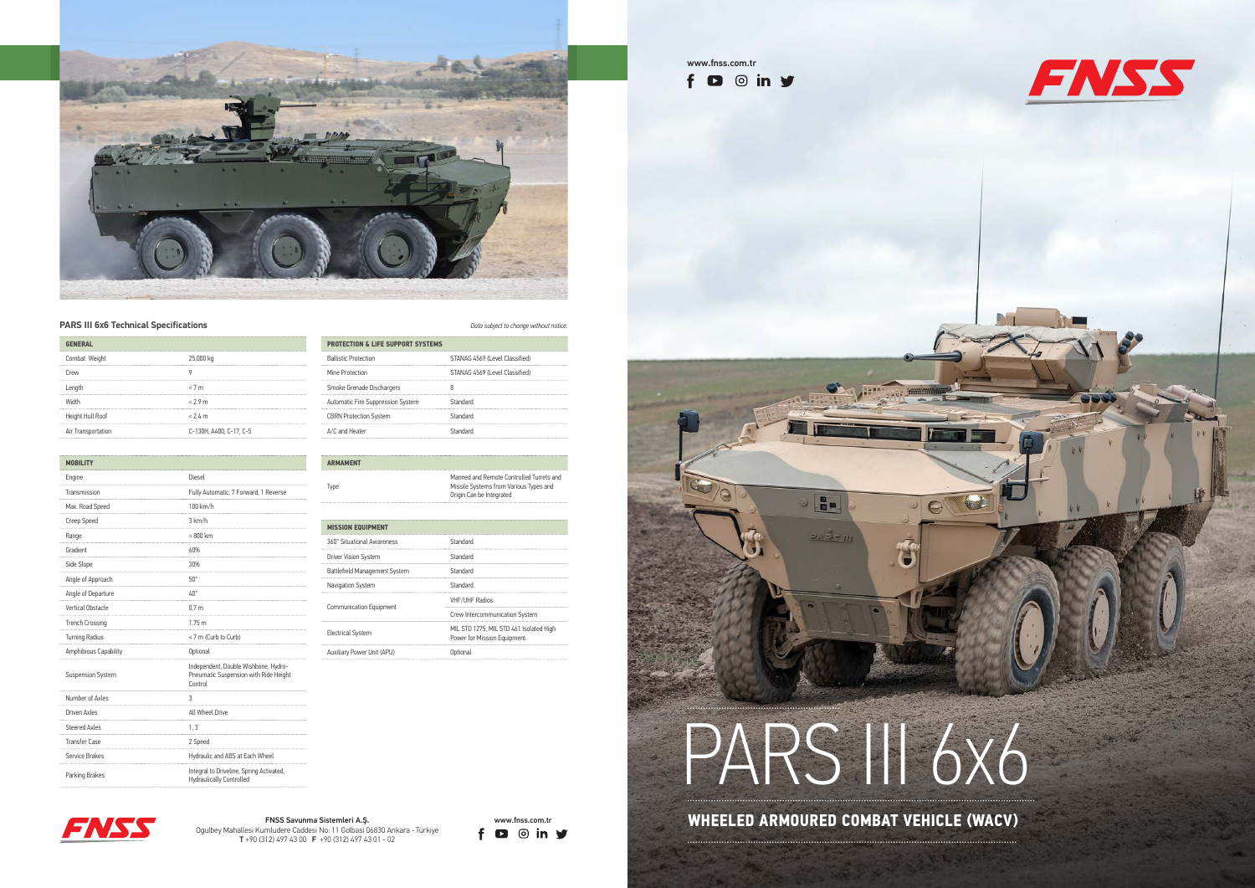

## **PARS III 6x6 Technical Specifications** *Data subject to change without notice.*







www.fnss.com.tr

 $f$   $\bullet$   $\circ$  in  $y$ 

## PARS 116X6

**HE** 

DA BLV 111

 $\circ$ 

FNSS Savunma Sistemleri A.Ş.<br>umludere Caddesi No: 11 Goldasi 06830 Ankara - Türkiye **FD** © **in** Y<br>2120 CZ (2006 E v20 COMBAT VEHICLE (WACV)



Ogulbey Mahallesi Kumludere Caddesi No: 11 Golbasi 06830 Ankara - Türkiye T +90 (312) 497 43 00 F +90 (312) 497 43 01 - 02

| <b>GENERAL</b>     |                         |  |
|--------------------|-------------------------|--|
| Combat Weight      | 25,000 kg               |  |
| Crew               |                         |  |
| Length             | < 7m                    |  |
| Width              | $<$ 29 $m$              |  |
| Height Hull Roof   | < 2.4 m                 |  |
| Air Transportation | C-130H, A400, C-17, C-5 |  |

| <b>MOBILITY</b>          |                                                                                          |
|--------------------------|------------------------------------------------------------------------------------------|
| Engine                   | Diesel                                                                                   |
| Transmission             | Fully Automatic, 7 Forward, 1 Reverse                                                    |
| Max. Road Speed          | 100 km/h                                                                                 |
| Creep Speed              | 3 km/h                                                                                   |
| Range                    | $>800$ km                                                                                |
| Gradient                 | 60%                                                                                      |
| Side Slope               | 30%                                                                                      |
| Angle of Approach        | $50^\circ$                                                                               |
| Angle of Departure       | ∆∩°                                                                                      |
| Vertical Obstacle        | 0.7 <sub>m</sub>                                                                         |
| <b>Trench Crossing</b>   | 1.75 <sub>m</sub>                                                                        |
| Turning Radius           | < 7 m (Curb to Curb)                                                                     |
| Amphibious Capability    | Optional                                                                                 |
| <b>Suspension System</b> | Independent, Double Wishbone, Hydro-<br>Pneumatic Suspension with Ride Height<br>Control |
| Number of Axles          | 3                                                                                        |
| Driven Axles             | All Wheel Drive                                                                          |
| <b>Steered Axles</b>     | 1, 3                                                                                     |
| <b>Transfer Case</b>     | 2 Speed                                                                                  |
| Service Brakes           | Hydraulic and ABS at Each Wheel                                                          |
| Parking Brakes           | Integral to Driveline, Spring Activated,<br><b>Hydraulically Controlled</b>              |

| <b>PROTECTION &amp; LIFE SUPPORT SYSTEMS</b> |                                |  |
|----------------------------------------------|--------------------------------|--|
| <b>Ballistic Protection</b>                  | STANAG 4569 (Level Classified) |  |
| Mine Protection                              | STANAG 4569 (Level Classified) |  |
| Smoke Grenade Dischargers                    |                                |  |
| Automatic Fire Suppression System            | Standard                       |  |
| <b>CBRN Protection System</b>                | Standard                       |  |
| A/C and Heater                               | Standard                       |  |

## **ARMAMENT**

**Type** 

| Manned and Remote Controlled Turrets and<br>Missile Systems from Various Types and |
|------------------------------------------------------------------------------------|
| Origin Can be Integrated                                                           |

| <b>MISSION EQUIPMENT</b>       |                                                                        |
|--------------------------------|------------------------------------------------------------------------|
| 360° Situational Awareness     | Standard                                                               |
| Driver Vision System           | Standard                                                               |
| Battlefield Management System  | Standard                                                               |
| Navigation System              | Standard                                                               |
| <b>Communication Equipment</b> | <b>VHF/UHF Radios</b>                                                  |
|                                | Crew Intercommunication System                                         |
| <b>Electrical System</b>       | MIL STD 1275, MIL STD 461 Isolated High<br>Power for Mission Equipment |
| Auxiliary Power Unit (APU)     |                                                                        |